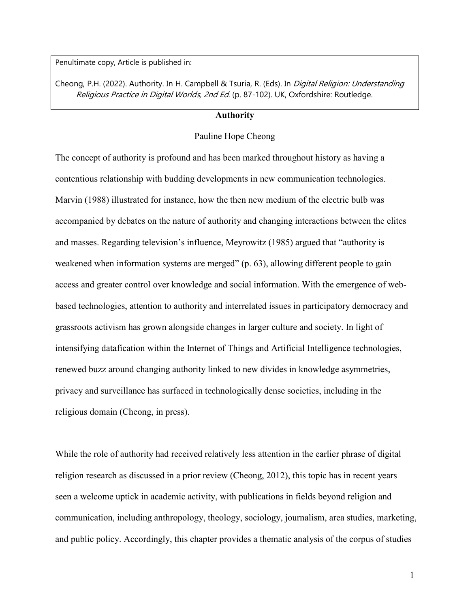Penultimate copy, Article is published in:

Cheong, P.H. (2022). Authority. In H. Campbell & Tsuria, R. (Eds). In *Digital Religion: Understanding* Religious Practice in Digital Worlds, 2nd Ed. (p. 87-102). UK, Oxfordshire: Routledge.

# **Authority**

# Pauline Hope Cheong

The concept of authority is profound and has been marked throughout history as having a contentious relationship with budding developments in new communication technologies. Marvin (1988) illustrated for instance, how the then new medium of the electric bulb was accompanied by debates on the nature of authority and changing interactions between the elites and masses. Regarding television's influence, Meyrowitz (1985) argued that "authority is weakened when information systems are merged" (p. 63), allowing different people to gain access and greater control over knowledge and social information. With the emergence of webbased technologies, attention to authority and interrelated issues in participatory democracy and grassroots activism has grown alongside changes in larger culture and society. In light of intensifying datafication within the Internet of Things and Artificial Intelligence technologies, renewed buzz around changing authority linked to new divides in knowledge asymmetries, privacy and surveillance has surfaced in technologically dense societies, including in the religious domain (Cheong, in press).

While the role of authority had received relatively less attention in the earlier phrase of digital religion research as discussed in a prior review (Cheong, 2012), this topic has in recent years seen a welcome uptick in academic activity, with publications in fields beyond religion and communication, including anthropology, theology, sociology, journalism, area studies, marketing, and public policy. Accordingly, this chapter provides a thematic analysis of the corpus of studies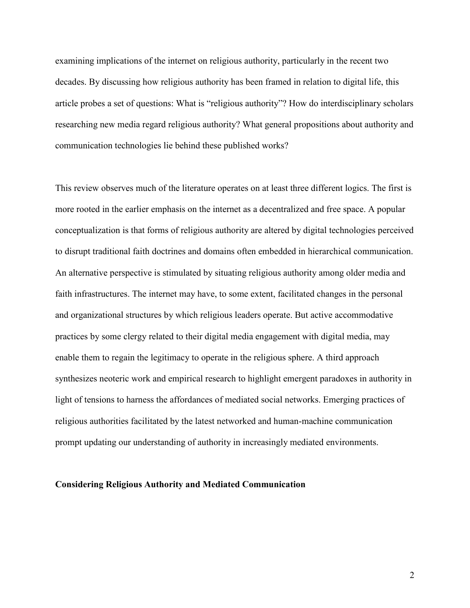examining implications of the internet on religious authority, particularly in the recent two decades. By discussing how religious authority has been framed in relation to digital life, this article probes a set of questions: What is "religious authority"? How do interdisciplinary scholars researching new media regard religious authority? What general propositions about authority and communication technologies lie behind these published works?

This review observes much of the literature operates on at least three different logics. The first is more rooted in the earlier emphasis on the internet as a decentralized and free space. A popular conceptualization is that forms of religious authority are altered by digital technologies perceived to disrupt traditional faith doctrines and domains often embedded in hierarchical communication. An alternative perspective is stimulated by situating religious authority among older media and faith infrastructures. The internet may have, to some extent, facilitated changes in the personal and organizational structures by which religious leaders operate. But active accommodative practices by some clergy related to their digital media engagement with digital media, may enable them to regain the legitimacy to operate in the religious sphere. A third approach synthesizes neoteric work and empirical research to highlight emergent paradoxes in authority in light of tensions to harness the affordances of mediated social networks. Emerging practices of religious authorities facilitated by the latest networked and human-machine communication prompt updating our understanding of authority in increasingly mediated environments.

#### **Considering Religious Authority and Mediated Communication**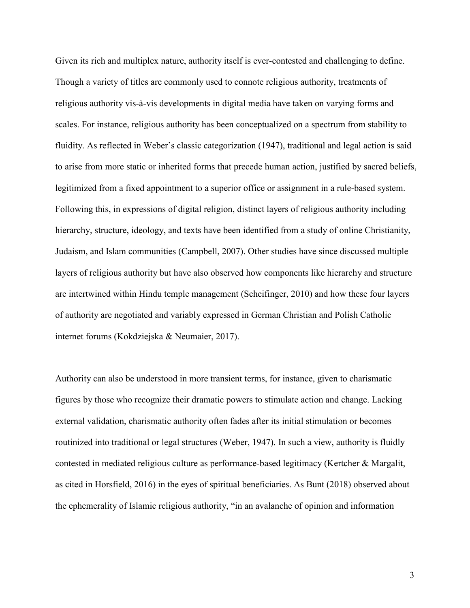Given its rich and multiplex nature, authority itself is ever-contested and challenging to define. Though a variety of titles are commonly used to connote religious authority, treatments of religious authority vis-à-vis developments in digital media have taken on varying forms and scales. For instance, religious authority has been conceptualized on a spectrum from stability to fluidity. As reflected in Weber's classic categorization (1947), traditional and legal action is said to arise from more static or inherited forms that precede human action, justified by sacred beliefs, legitimized from a fixed appointment to a superior office or assignment in a rule-based system. Following this, in expressions of digital religion, distinct layers of religious authority including hierarchy, structure, ideology, and texts have been identified from a study of online Christianity, Judaism, and Islam communities (Campbell, 2007). Other studies have since discussed multiple layers of religious authority but have also observed how components like hierarchy and structure are intertwined within Hindu temple management (Scheifinger, 2010) and how these four layers of authority are negotiated and variably expressed in German Christian and Polish Catholic internet forums (Kokdziejska & Neumaier, 2017).

Authority can also be understood in more transient terms, for instance, given to charismatic figures by those who recognize their dramatic powers to stimulate action and change. Lacking external validation, charismatic authority often fades after its initial stimulation or becomes routinized into traditional or legal structures (Weber, 1947). In such a view, authority is fluidly contested in mediated religious culture as performance-based legitimacy (Kertcher & Margalit, as cited in Horsfield, 2016) in the eyes of spiritual beneficiaries. As Bunt (2018) observed about the ephemerality of Islamic religious authority, "in an avalanche of opinion and information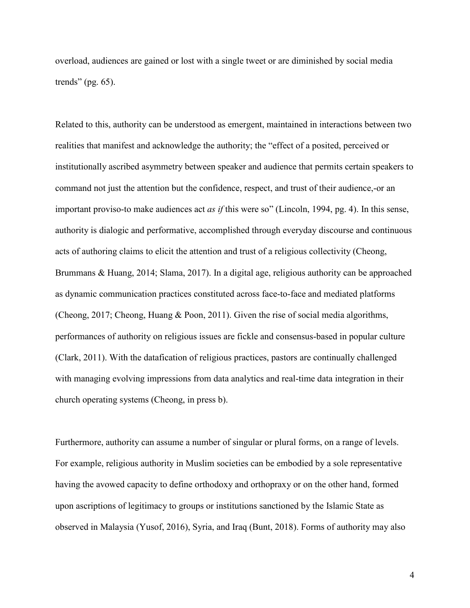overload, audiences are gained or lost with a single tweet or are diminished by social media trends" (pg. 65).

Related to this, authority can be understood as emergent, maintained in interactions between two realities that manifest and acknowledge the authority; the "effect of a posited, perceived or institutionally ascribed asymmetry between speaker and audience that permits certain speakers to command not just the attention but the confidence, respect, and trust of their audience,-or an important proviso-to make audiences act *as if* this were so" (Lincoln, 1994, pg. 4). In this sense, authority is dialogic and performative, accomplished through everyday discourse and continuous acts of authoring claims to elicit the attention and trust of a religious collectivity (Cheong, Brummans & Huang, 2014; Slama, 2017). In a digital age, religious authority can be approached as dynamic communication practices constituted across face-to-face and mediated platforms (Cheong, 2017; Cheong, Huang & Poon, 2011). Given the rise of social media algorithms, performances of authority on religious issues are fickle and consensus-based in popular culture (Clark, 2011). With the datafication of religious practices, pastors are continually challenged with managing evolving impressions from data analytics and real-time data integration in their church operating systems (Cheong, in press b).

Furthermore, authority can assume a number of singular or plural forms, on a range of levels. For example, religious authority in Muslim societies can be embodied by a sole representative having the avowed capacity to define orthodoxy and orthopraxy or on the other hand, formed upon ascriptions of legitimacy to groups or institutions sanctioned by the Islamic State as observed in Malaysia (Yusof, 2016), Syria, and Iraq (Bunt, 2018). Forms of authority may also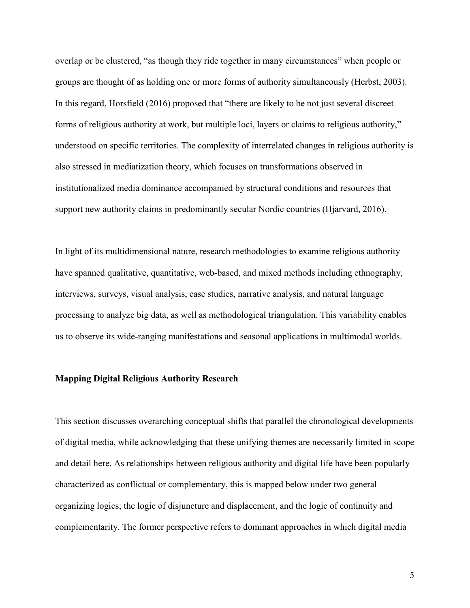overlap or be clustered, "as though they ride together in many circumstances" when people or groups are thought of as holding one or more forms of authority simultaneously (Herbst, 2003). In this regard, Horsfield (2016) proposed that "there are likely to be not just several discreet forms of religious authority at work, but multiple loci, layers or claims to religious authority," understood on specific territories. The complexity of interrelated changes in religious authority is also stressed in mediatization theory, which focuses on transformations observed in institutionalized media dominance accompanied by structural conditions and resources that support new authority claims in predominantly secular Nordic countries (Hjarvard, 2016).

In light of its multidimensional nature, research methodologies to examine religious authority have spanned qualitative, quantitative, web-based, and mixed methods including ethnography, interviews, surveys, visual analysis, case studies, narrative analysis, and natural language processing to analyze big data, as well as methodological triangulation. This variability enables us to observe its wide-ranging manifestations and seasonal applications in multimodal worlds.

#### **Mapping Digital Religious Authority Research**

This section discusses overarching conceptual shifts that parallel the chronological developments of digital media, while acknowledging that these unifying themes are necessarily limited in scope and detail here. As relationships between religious authority and digital life have been popularly characterized as conflictual or complementary, this is mapped below under two general organizing logics; the logic of disjuncture and displacement, and the logic of continuity and complementarity. The former perspective refers to dominant approaches in which digital media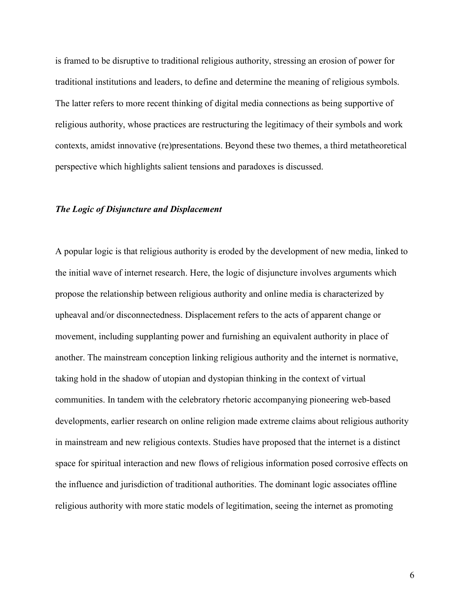is framed to be disruptive to traditional religious authority, stressing an erosion of power for traditional institutions and leaders, to define and determine the meaning of religious symbols. The latter refers to more recent thinking of digital media connections as being supportive of religious authority, whose practices are restructuring the legitimacy of their symbols and work contexts, amidst innovative (re)presentations. Beyond these two themes, a third metatheoretical perspective which highlights salient tensions and paradoxes is discussed.

## *The Logic of Disjuncture and Displacement*

A popular logic is that religious authority is eroded by the development of new media, linked to the initial wave of internet research. Here, the logic of disjuncture involves arguments which propose the relationship between religious authority and online media is characterized by upheaval and/or disconnectedness. Displacement refers to the acts of apparent change or movement, including supplanting power and furnishing an equivalent authority in place of another. The mainstream conception linking religious authority and the internet is normative, taking hold in the shadow of utopian and dystopian thinking in the context of virtual communities. In tandem with the celebratory rhetoric accompanying pioneering web-based developments, earlier research on online religion made extreme claims about religious authority in mainstream and new religious contexts. Studies have proposed that the internet is a distinct space for spiritual interaction and new flows of religious information posed corrosive effects on the influence and jurisdiction of traditional authorities. The dominant logic associates offline religious authority with more static models of legitimation, seeing the internet as promoting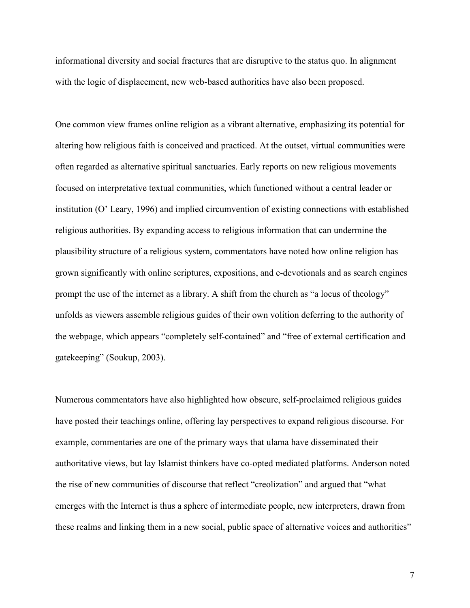informational diversity and social fractures that are disruptive to the status quo. In alignment with the logic of displacement, new web-based authorities have also been proposed.

One common view frames online religion as a vibrant alternative, emphasizing its potential for altering how religious faith is conceived and practiced. At the outset, virtual communities were often regarded as alternative spiritual sanctuaries. Early reports on new religious movements focused on interpretative textual communities, which functioned without a central leader or institution (O' Leary, 1996) and implied circumvention of existing connections with established religious authorities. By expanding access to religious information that can undermine the plausibility structure of a religious system, commentators have noted how online religion has grown significantly with online scriptures, expositions, and e-devotionals and as search engines prompt the use of the internet as a library. A shift from the church as "a locus of theology" unfolds as viewers assemble religious guides of their own volition deferring to the authority of the webpage, which appears "completely self-contained" and "free of external certification and gatekeeping" (Soukup, 2003).

Numerous commentators have also highlighted how obscure, self-proclaimed religious guides have posted their teachings online, offering lay perspectives to expand religious discourse. For example, commentaries are one of the primary ways that ulama have disseminated their authoritative views, but lay Islamist thinkers have co-opted mediated platforms. Anderson noted the rise of new communities of discourse that reflect "creolization" and argued that "what emerges with the Internet is thus a sphere of intermediate people, new interpreters, drawn from these realms and linking them in a new social, public space of alternative voices and authorities"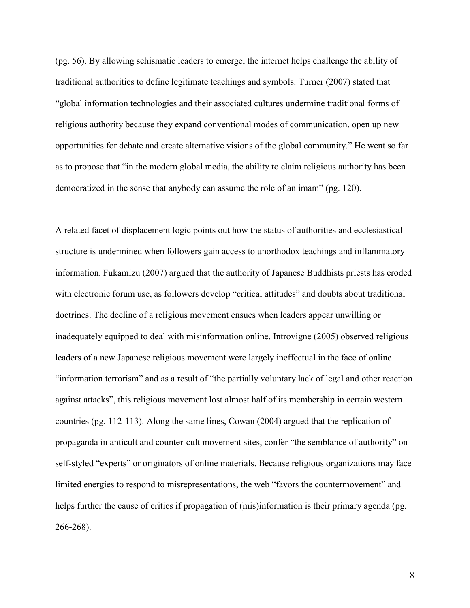(pg. 56). By allowing schismatic leaders to emerge, the internet helps challenge the ability of traditional authorities to define legitimate teachings and symbols. Turner (2007) stated that "global information technologies and their associated cultures undermine traditional forms of religious authority because they expand conventional modes of communication, open up new opportunities for debate and create alternative visions of the global community." He went so far as to propose that "in the modern global media, the ability to claim religious authority has been democratized in the sense that anybody can assume the role of an imam" (pg. 120).

A related facet of displacement logic points out how the status of authorities and ecclesiastical structure is undermined when followers gain access to unorthodox teachings and inflammatory information. Fukamizu (2007) argued that the authority of Japanese Buddhists priests has eroded with electronic forum use, as followers develop "critical attitudes" and doubts about traditional doctrines. The decline of a religious movement ensues when leaders appear unwilling or inadequately equipped to deal with misinformation online. Introvigne (2005) observed religious leaders of a new Japanese religious movement were largely ineffectual in the face of online "information terrorism" and as a result of "the partially voluntary lack of legal and other reaction against attacks", this religious movement lost almost half of its membership in certain western countries (pg. 112-113). Along the same lines, Cowan (2004) argued that the replication of propaganda in anticult and counter-cult movement sites, confer "the semblance of authority" on self-styled "experts" or originators of online materials. Because religious organizations may face limited energies to respond to misrepresentations, the web "favors the countermovement" and helps further the cause of critics if propagation of (mis)information is their primary agenda (pg. 266-268).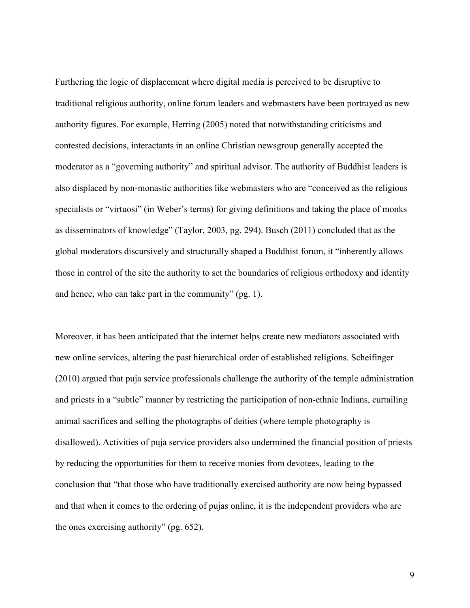Furthering the logic of displacement where digital media is perceived to be disruptive to traditional religious authority, online forum leaders and webmasters have been portrayed as new authority figures. For example, Herring (2005) noted that notwithstanding criticisms and contested decisions, interactants in an online Christian newsgroup generally accepted the moderator as a "governing authority" and spiritual advisor. The authority of Buddhist leaders is also displaced by non-monastic authorities like webmasters who are "conceived as the religious specialists or "virtuosi" (in Weber's terms) for giving definitions and taking the place of monks as disseminators of knowledge" (Taylor, 2003, pg. 294). Busch (2011) concluded that as the global moderators discursively and structurally shaped a Buddhist forum, it "inherently allows those in control of the site the authority to set the boundaries of religious orthodoxy and identity and hence, who can take part in the community" (pg. 1).

Moreover, it has been anticipated that the internet helps create new mediators associated with new online services, altering the past hierarchical order of established religions. Scheifinger (2010) argued that puja service professionals challenge the authority of the temple administration and priests in a "subtle" manner by restricting the participation of non-ethnic Indians, curtailing animal sacrifices and selling the photographs of deities (where temple photography is disallowed). Activities of puja service providers also undermined the financial position of priests by reducing the opportunities for them to receive monies from devotees, leading to the conclusion that "that those who have traditionally exercised authority are now being bypassed and that when it comes to the ordering of pujas online, it is the independent providers who are the ones exercising authority" (pg. 652).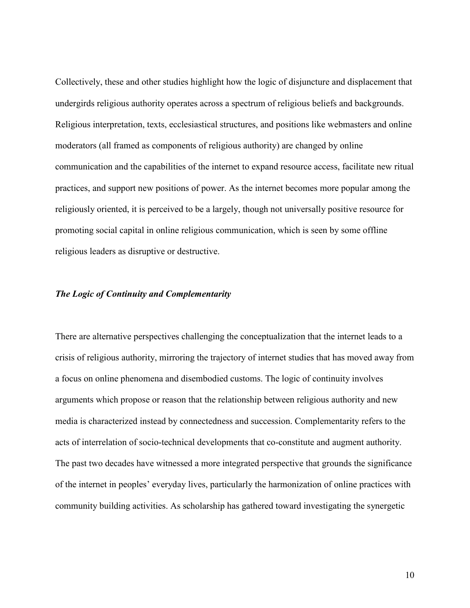Collectively, these and other studies highlight how the logic of disjuncture and displacement that undergirds religious authority operates across a spectrum of religious beliefs and backgrounds. Religious interpretation, texts, ecclesiastical structures, and positions like webmasters and online moderators (all framed as components of religious authority) are changed by online communication and the capabilities of the internet to expand resource access, facilitate new ritual practices, and support new positions of power. As the internet becomes more popular among the religiously oriented, it is perceived to be a largely, though not universally positive resource for promoting social capital in online religious communication, which is seen by some offline religious leaders as disruptive or destructive.

# *The Logic of Continuity and Complementarity*

There are alternative perspectives challenging the conceptualization that the internet leads to a crisis of religious authority, mirroring the trajectory of internet studies that has moved away from a focus on online phenomena and disembodied customs. The logic of continuity involves arguments which propose or reason that the relationship between religious authority and new media is characterized instead by connectedness and succession. Complementarity refers to the acts of interrelation of socio-technical developments that co-constitute and augment authority. The past two decades have witnessed a more integrated perspective that grounds the significance of the internet in peoples' everyday lives, particularly the harmonization of online practices with community building activities. As scholarship has gathered toward investigating the synergetic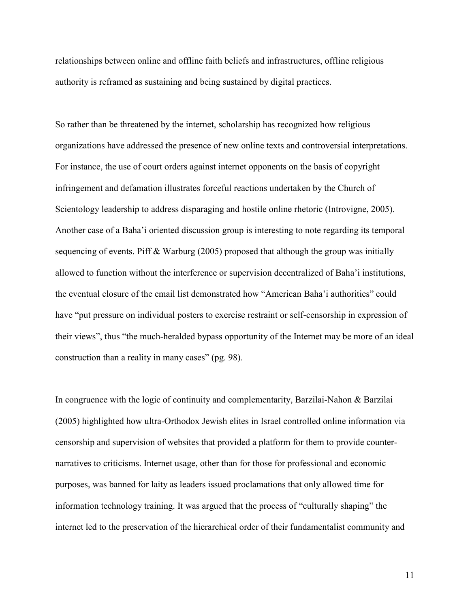relationships between online and offline faith beliefs and infrastructures, offline religious authority is reframed as sustaining and being sustained by digital practices.

So rather than be threatened by the internet, scholarship has recognized how religious organizations have addressed the presence of new online texts and controversial interpretations. For instance, the use of court orders against internet opponents on the basis of copyright infringement and defamation illustrates forceful reactions undertaken by the Church of Scientology leadership to address disparaging and hostile online rhetoric (Introvigne, 2005). Another case of a Baha'i oriented discussion group is interesting to note regarding its temporal sequencing of events. Piff & Warburg (2005) proposed that although the group was initially allowed to function without the interference or supervision decentralized of Baha'i institutions, the eventual closure of the email list demonstrated how "American Baha'i authorities" could have "put pressure on individual posters to exercise restraint or self-censorship in expression of their views", thus "the much-heralded bypass opportunity of the Internet may be more of an ideal construction than a reality in many cases" (pg. 98).

In congruence with the logic of continuity and complementarity, Barzilai-Nahon & Barzilai (2005) highlighted how ultra-Orthodox Jewish elites in Israel controlled online information via censorship and supervision of websites that provided a platform for them to provide counternarratives to criticisms. Internet usage, other than for those for professional and economic purposes, was banned for laity as leaders issued proclamations that only allowed time for information technology training. It was argued that the process of "culturally shaping" the internet led to the preservation of the hierarchical order of their fundamentalist community and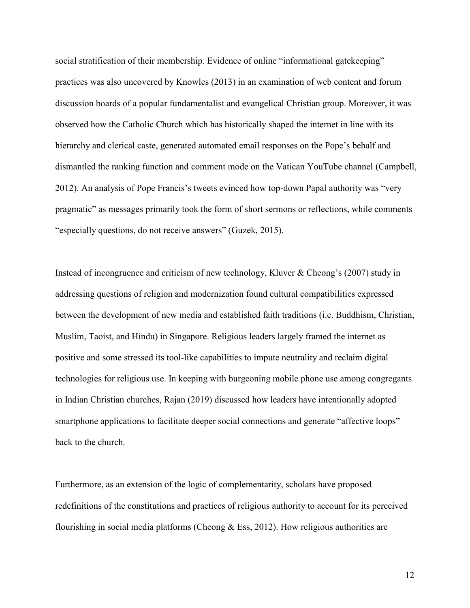social stratification of their membership. Evidence of online "informational gatekeeping" practices was also uncovered by Knowles (2013) in an examination of web content and forum discussion boards of a popular fundamentalist and evangelical Christian group. Moreover, it was observed how the Catholic Church which has historically shaped the internet in line with its hierarchy and clerical caste, generated automated email responses on the Pope's behalf and dismantled the ranking function and comment mode on the Vatican YouTube channel (Campbell, 2012). An analysis of Pope Francis's tweets evinced how top-down Papal authority was "very pragmatic" as messages primarily took the form of short sermons or reflections, while comments "especially questions, do not receive answers" (Guzek, 2015).

Instead of incongruence and criticism of new technology, Kluver & Cheong's (2007) study in addressing questions of religion and modernization found cultural compatibilities expressed between the development of new media and established faith traditions (i.e. Buddhism, Christian, Muslim, Taoist, and Hindu) in Singapore. Religious leaders largely framed the internet as positive and some stressed its tool-like capabilities to impute neutrality and reclaim digital technologies for religious use. In keeping with burgeoning mobile phone use among congregants in Indian Christian churches, Rajan (2019) discussed how leaders have intentionally adopted smartphone applications to facilitate deeper social connections and generate "affective loops" back to the church.

Furthermore, as an extension of the logic of complementarity, scholars have proposed redefinitions of the constitutions and practices of religious authority to account for its perceived flourishing in social media platforms (Cheong  $\&$  Ess, 2012). How religious authorities are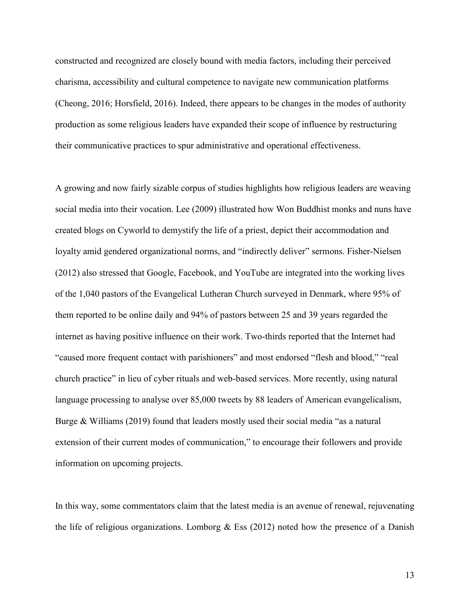constructed and recognized are closely bound with media factors, including their perceived charisma, accessibility and cultural competence to navigate new communication platforms (Cheong, 2016; Horsfield, 2016). Indeed, there appears to be changes in the modes of authority production as some religious leaders have expanded their scope of influence by restructuring their communicative practices to spur administrative and operational effectiveness.

A growing and now fairly sizable corpus of studies highlights how religious leaders are weaving social media into their vocation. Lee (2009) illustrated how Won Buddhist monks and nuns have created blogs on Cyworld to demystify the life of a priest, depict their accommodation and loyalty amid gendered organizational norms, and "indirectly deliver" sermons. Fisher-Nielsen (2012) also stressed that Google, Facebook, and YouTube are integrated into the working lives of the 1,040 pastors of the Evangelical Lutheran Church surveyed in Denmark, where 95% of them reported to be online daily and 94% of pastors between 25 and 39 years regarded the internet as having positive influence on their work. Two-thirds reported that the Internet had "caused more frequent contact with parishioners" and most endorsed "flesh and blood," "real church practice" in lieu of cyber rituals and web-based services. More recently, using natural language processing to analyse over 85,000 tweets by 88 leaders of American evangelicalism, Burge & Williams (2019) found that leaders mostly used their social media "as a natural extension of their current modes of communication," to encourage their followers and provide information on upcoming projects.

In this way, some commentators claim that the latest media is an avenue of renewal, rejuvenating the life of religious organizations. Lomborg  $\&$  Ess (2012) noted how the presence of a Danish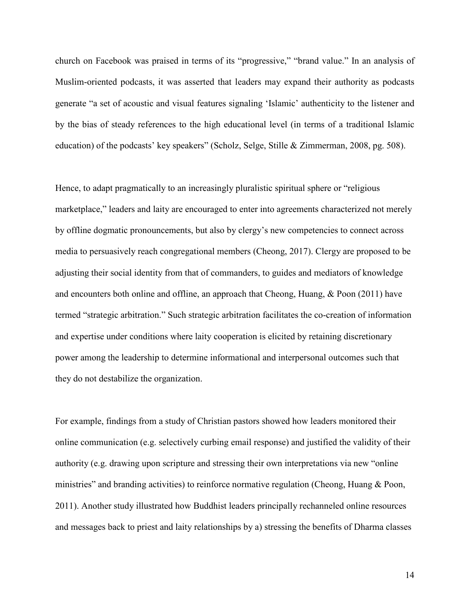church on Facebook was praised in terms of its "progressive," "brand value." In an analysis of Muslim-oriented podcasts, it was asserted that leaders may expand their authority as podcasts generate "a set of acoustic and visual features signaling 'Islamic' authenticity to the listener and by the bias of steady references to the high educational level (in terms of a traditional Islamic education) of the podcasts' key speakers" (Scholz, Selge, Stille & Zimmerman, 2008, pg. 508).

Hence, to adapt pragmatically to an increasingly pluralistic spiritual sphere or "religious marketplace," leaders and laity are encouraged to enter into agreements characterized not merely by offline dogmatic pronouncements, but also by clergy's new competencies to connect across media to persuasively reach congregational members (Cheong, 2017). Clergy are proposed to be adjusting their social identity from that of commanders, to guides and mediators of knowledge and encounters both online and offline, an approach that Cheong, Huang, & Poon (2011) have termed "strategic arbitration." Such strategic arbitration facilitates the co-creation of information and expertise under conditions where laity cooperation is elicited by retaining discretionary power among the leadership to determine informational and interpersonal outcomes such that they do not destabilize the organization.

For example, findings from a study of Christian pastors showed how leaders monitored their online communication (e.g. selectively curbing email response) and justified the validity of their authority (e.g. drawing upon scripture and stressing their own interpretations via new "online ministries" and branding activities) to reinforce normative regulation (Cheong, Huang & Poon, 2011). Another study illustrated how Buddhist leaders principally rechanneled online resources and messages back to priest and laity relationships by a) stressing the benefits of Dharma classes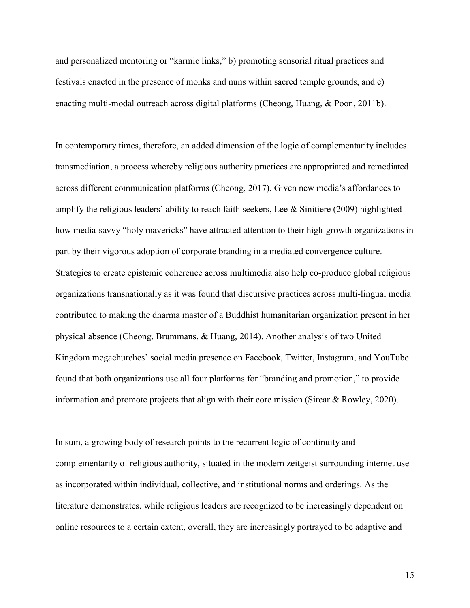and personalized mentoring or "karmic links," b) promoting sensorial ritual practices and festivals enacted in the presence of monks and nuns within sacred temple grounds, and c) enacting multi-modal outreach across digital platforms (Cheong, Huang, & Poon, 2011b).

In contemporary times, therefore, an added dimension of the logic of complementarity includes transmediation, a process whereby religious authority practices are appropriated and remediated across different communication platforms (Cheong, 2017). Given new media's affordances to amplify the religious leaders' ability to reach faith seekers, Lee & Sinitiere (2009) highlighted how media-savvy "holy mavericks" have attracted attention to their high-growth organizations in part by their vigorous adoption of corporate branding in a mediated convergence culture. Strategies to create epistemic coherence across multimedia also help co-produce global religious organizations transnationally as it was found that discursive practices across multi-lingual media contributed to making the dharma master of a Buddhist humanitarian organization present in her physical absence (Cheong, Brummans, & Huang, 2014). Another analysis of two United Kingdom megachurches' social media presence on Facebook, Twitter, Instagram, and YouTube found that both organizations use all four platforms for "branding and promotion," to provide information and promote projects that align with their core mission (Sircar & Rowley, 2020).

In sum, a growing body of research points to the recurrent logic of continuity and complementarity of religious authority, situated in the modern zeitgeist surrounding internet use as incorporated within individual, collective, and institutional norms and orderings. As the literature demonstrates, while religious leaders are recognized to be increasingly dependent on online resources to a certain extent, overall, they are increasingly portrayed to be adaptive and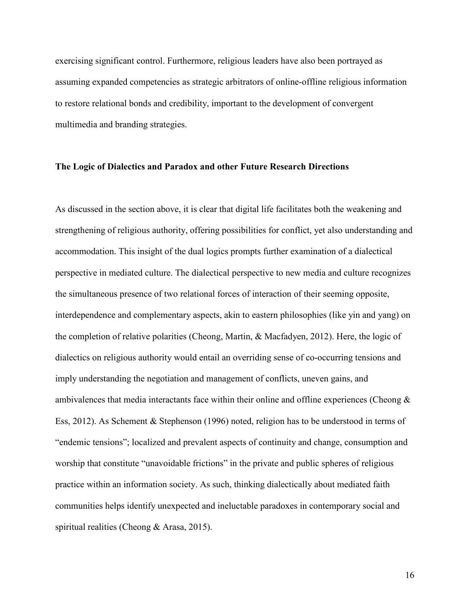exercising significant control. Furthermore, religious leaders have also been portrayed as assuming expanded competencies as strategic arbitrators of online-offline religious information to restore relational bonds and credibility, important to the development of convergent multimedia and branding strategies.

# **The Logic of Dialectics and Paradox and other Future Research Directions**

As discussed in the section above, it is clear that digital life facilitates both the weakening and strengthening of religious authority, offering possibilities for conflict, yet also understanding and accommodation. This insight of the dual logics prompts further examination of a dialectical perspective in mediated culture. The dialectical perspective to new media and culture recognizes the simultaneous presence of two relational forces of interaction of their seeming opposite, interdependence and complementary aspects, akin to eastern philosophies (like yin and yang) on the completion of relative polarities (Cheong, Martin, & Macfadyen, 2012). Here, the logic of dialectics on religious authority would entail an overriding sense of co-occurring tensions and imply understanding the negotiation and management of conflicts, uneven gains, and ambivalences that media interactants face within their online and offline experiences (Cheong & Ess, 2012). As Schement & Stephenson (1996) noted, religion has to be understood in terms of "endemic tensions"; localized and prevalent aspects of continuity and change, consumption and worship that constitute "unavoidable frictions" in the private and public spheres of religious practice within an information society. As such, thinking dialectically about mediated faith communities helps identify unexpected and ineluctable paradoxes in contemporary social and spiritual realities (Cheong & Arasa, 2015).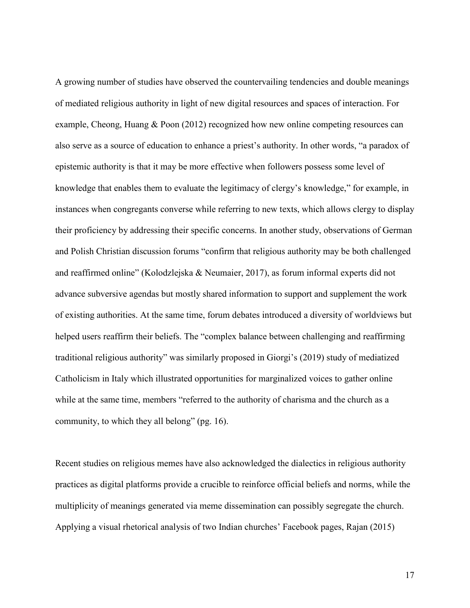A growing number of studies have observed the countervailing tendencies and double meanings of mediated religious authority in light of new digital resources and spaces of interaction. For example, Cheong, Huang & Poon (2012) recognized how new online competing resources can also serve as a source of education to enhance a priest's authority. In other words, "a paradox of epistemic authority is that it may be more effective when followers possess some level of knowledge that enables them to evaluate the legitimacy of clergy's knowledge," for example, in instances when congregants converse while referring to new texts, which allows clergy to display their proficiency by addressing their specific concerns. In another study, observations of German and Polish Christian discussion forums "confirm that religious authority may be both challenged and reaffirmed online" (Kolodzlejska & Neumaier, 2017), as forum informal experts did not advance subversive agendas but mostly shared information to support and supplement the work of existing authorities. At the same time, forum debates introduced a diversity of worldviews but helped users reaffirm their beliefs. The "complex balance between challenging and reaffirming traditional religious authority" was similarly proposed in Giorgi's (2019) study of mediatized Catholicism in Italy which illustrated opportunities for marginalized voices to gather online while at the same time, members "referred to the authority of charisma and the church as a community, to which they all belong" (pg. 16).

Recent studies on religious memes have also acknowledged the dialectics in religious authority practices as digital platforms provide a crucible to reinforce official beliefs and norms, while the multiplicity of meanings generated via meme dissemination can possibly segregate the church. Applying a visual rhetorical analysis of two Indian churches' Facebook pages, Rajan (2015)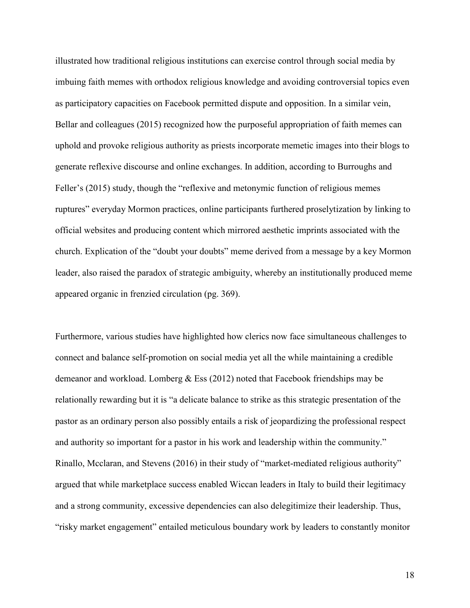illustrated how traditional religious institutions can exercise control through social media by imbuing faith memes with orthodox religious knowledge and avoiding controversial topics even as participatory capacities on Facebook permitted dispute and opposition. In a similar vein, Bellar and colleagues (2015) recognized how the purposeful appropriation of faith memes can uphold and provoke religious authority as priests incorporate memetic images into their blogs to generate reflexive discourse and online exchanges. In addition, according to Burroughs and Feller's (2015) study, though the "reflexive and metonymic function of religious memes ruptures" everyday Mormon practices, online participants furthered proselytization by linking to official websites and producing content which mirrored aesthetic imprints associated with the church. Explication of the "doubt your doubts" meme derived from a message by a key Mormon leader, also raised the paradox of strategic ambiguity, whereby an institutionally produced meme appeared organic in frenzied circulation (pg. 369).

Furthermore, various studies have highlighted how clerics now face simultaneous challenges to connect and balance self-promotion on social media yet all the while maintaining a credible demeanor and workload. Lomberg & Ess (2012) noted that Facebook friendships may be relationally rewarding but it is "a delicate balance to strike as this strategic presentation of the pastor as an ordinary person also possibly entails a risk of jeopardizing the professional respect and authority so important for a pastor in his work and leadership within the community." Rinallo, Mcclaran, and Stevens (2016) in their study of "market-mediated religious authority" argued that while marketplace success enabled Wiccan leaders in Italy to build their legitimacy and a strong community, excessive dependencies can also delegitimize their leadership. Thus, "risky market engagement" entailed meticulous boundary work by leaders to constantly monitor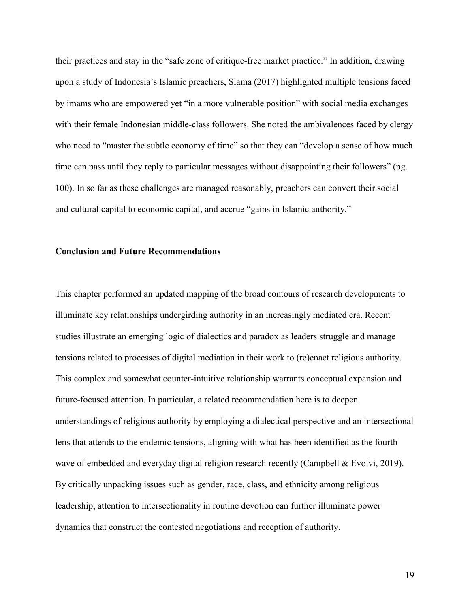their practices and stay in the "safe zone of critique-free market practice." In addition, drawing upon a study of Indonesia's Islamic preachers, Slama (2017) highlighted multiple tensions faced by imams who are empowered yet "in a more vulnerable position" with social media exchanges with their female Indonesian middle-class followers. She noted the ambivalences faced by clergy who need to "master the subtle economy of time" so that they can "develop a sense of how much time can pass until they reply to particular messages without disappointing their followers" (pg. 100). In so far as these challenges are managed reasonably, preachers can convert their social and cultural capital to economic capital, and accrue "gains in Islamic authority."

# **Conclusion and Future Recommendations**

This chapter performed an updated mapping of the broad contours of research developments to illuminate key relationships undergirding authority in an increasingly mediated era. Recent studies illustrate an emerging logic of dialectics and paradox as leaders struggle and manage tensions related to processes of digital mediation in their work to (re)enact religious authority. This complex and somewhat counter-intuitive relationship warrants conceptual expansion and future-focused attention. In particular, a related recommendation here is to deepen understandings of religious authority by employing a dialectical perspective and an intersectional lens that attends to the endemic tensions, aligning with what has been identified as the fourth wave of embedded and everyday digital religion research recently (Campbell & Evolvi, 2019). By critically unpacking issues such as gender, race, class, and ethnicity among religious leadership, attention to intersectionality in routine devotion can further illuminate power dynamics that construct the contested negotiations and reception of authority.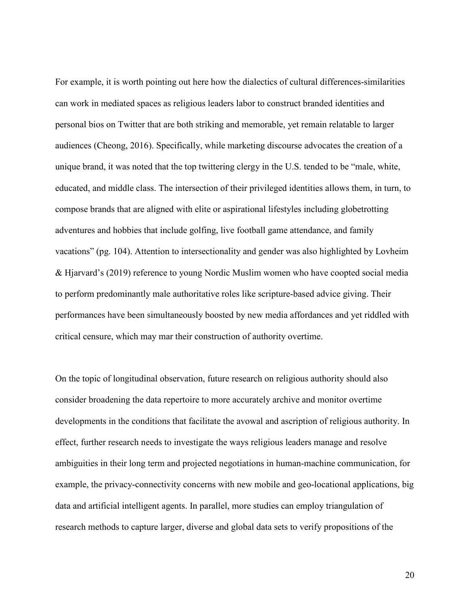For example, it is worth pointing out here how the dialectics of cultural differences-similarities can work in mediated spaces as religious leaders labor to construct branded identities and personal bios on Twitter that are both striking and memorable, yet remain relatable to larger audiences (Cheong, 2016). Specifically, while marketing discourse advocates the creation of a unique brand, it was noted that the top twittering clergy in the U.S. tended to be "male, white, educated, and middle class. The intersection of their privileged identities allows them, in turn, to compose brands that are aligned with elite or aspirational lifestyles including globetrotting adventures and hobbies that include golfing, live football game attendance, and family vacations" (pg. 104). Attention to intersectionality and gender was also highlighted by Lovheim & Hjarvard's (2019) reference to young Nordic Muslim women who have coopted social media to perform predominantly male authoritative roles like scripture-based advice giving. Their performances have been simultaneously boosted by new media affordances and yet riddled with critical censure, which may mar their construction of authority overtime.

On the topic of longitudinal observation, future research on religious authority should also consider broadening the data repertoire to more accurately archive and monitor overtime developments in the conditions that facilitate the avowal and ascription of religious authority. In effect, further research needs to investigate the ways religious leaders manage and resolve ambiguities in their long term and projected negotiations in human-machine communication, for example, the privacy-connectivity concerns with new mobile and geo-locational applications, big data and artificial intelligent agents. In parallel, more studies can employ triangulation of research methods to capture larger, diverse and global data sets to verify propositions of the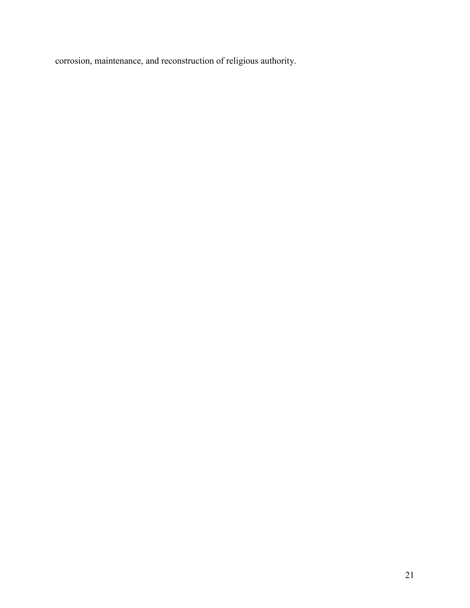corrosion, maintenance, and reconstruction of religious authority.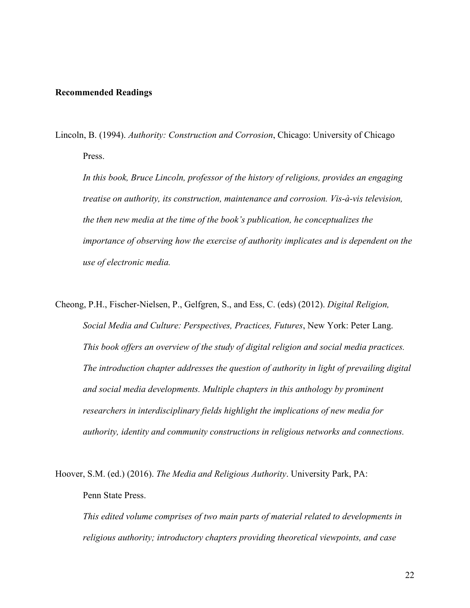## **Recommended Readings**

Lincoln, B. (1994). *Authority: Construction and Corrosion*, Chicago: University of Chicago Press.

*In this book, Bruce Lincoln, professor of the history of religions, provides an engaging treatise on authority, its construction, maintenance and corrosion. Vis-à-vis television, the then new media at the time of the book's publication, he conceptualizes the importance of observing how the exercise of authority implicates and is dependent on the use of electronic media.* 

Cheong, P.H., Fischer-Nielsen, P., Gelfgren, S., and Ess, C. (eds) (2012). *Digital Religion, Social Media and Culture: Perspectives, Practices, Futures*, New York: Peter Lang. *This book offers an overview of the study of digital religion and social media practices. The introduction chapter addresses the question of authority in light of prevailing digital and social media developments. Multiple chapters in this anthology by prominent researchers in interdisciplinary fields highlight the implications of new media for authority, identity and community constructions in religious networks and connections.*

Hoover, S.M. (ed.) (2016). *The Media and Religious Authority*. University Park, PA: Penn State Press.

*This edited volume comprises of two main parts of material related to developments in religious authority; introductory chapters providing theoretical viewpoints, and case*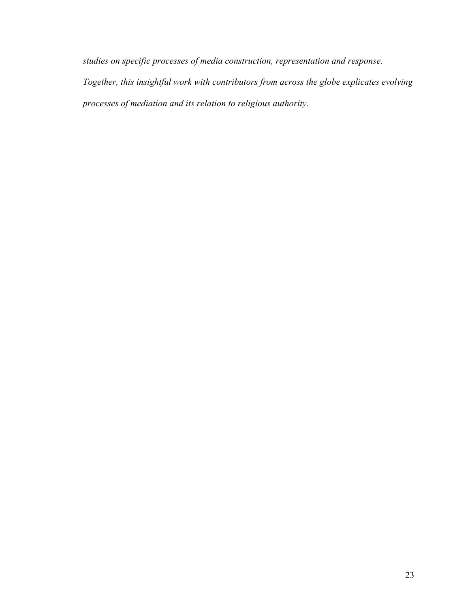*studies on specific processes of media construction, representation and response. Together, this insightful work with contributors from across the globe explicates evolving processes of mediation and its relation to religious authority.*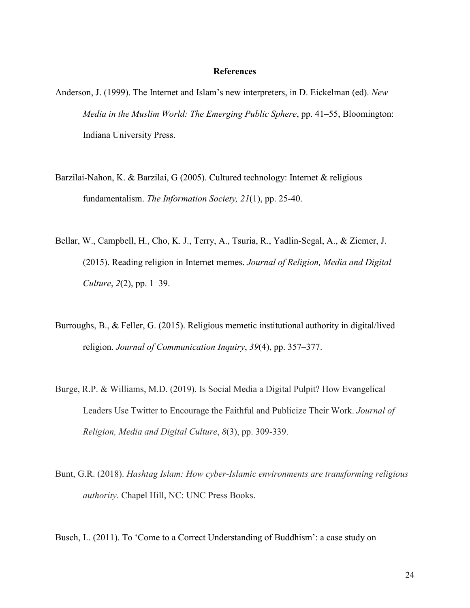## **References**

- Anderson, J. (1999). The Internet and Islam's new interpreters, in D. Eickelman (ed). *New Media in the Muslim World: The Emerging Public Sphere*, pp. 41–55, Bloomington: Indiana University Press.
- Barzilai-Nahon, K. & Barzilai, G (2005). Cultured technology: Internet & religious fundamentalism. *The Information Society, 21*(1), pp. 25-40.
- Bellar, W., Campbell, H., Cho, K. J., Terry, A., Tsuria, R., Yadlin-Segal, A., & Ziemer, J. (2015). Reading religion in Internet memes. *Journal of Religion, Media and Digital Culture*, *2*(2), pp. 1–39.
- Burroughs, B., & Feller, G. (2015). Religious memetic institutional authority in digital/lived religion. *Journal of Communication Inquiry*, *39*(4), pp. 357–377.
- Burge, R.P. & Williams, M.D. (2019). Is Social Media a Digital Pulpit? How Evangelical Leaders Use Twitter to Encourage the Faithful and Publicize Their Work. *Journal of Religion, Media and Digital Culture*, *8*(3), pp. 309-339.
- Bunt, G.R. (2018). *Hashtag Islam: How cyber-Islamic environments are transforming religious authority*. Chapel Hill, NC: UNC Press Books.

Busch, L. (2011). To 'Come to a Correct Understanding of Buddhism': a case study on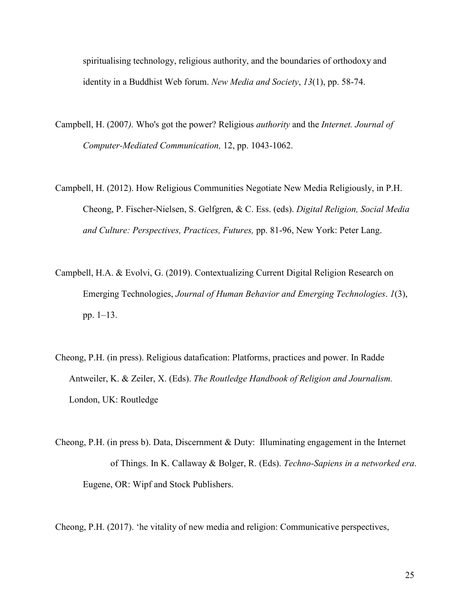spiritualising technology, religious authority, and the boundaries of orthodoxy and identity in a Buddhist Web forum. *New Media and Society*, *13*(1), pp. 58-74.

- Campbell, H. (2007*).* Who's got the power? Religious *authority* and the *Internet. Journal of Computer-Mediated Communication,* 12, pp. 1043-1062.
- Campbell, H. (2012). How Religious Communities Negotiate New Media Religiously, in P.H. Cheong, P. Fischer-Nielsen, S. Gelfgren, & C. Ess. (eds). *Digital Religion, Social Media and Culture: Perspectives, Practices, Futures,* pp. 81-96, New York: Peter Lang.
- Campbell, H.A. & Evolvi, G. (2019). Contextualizing Current Digital Religion Research on Emerging Technologies, *Journal of Human Behavior and Emerging Technologies*. *1*(3), pp. 1–13.
- Cheong, P.H. (in press). Religious datafication: Platforms, practices and power. In Radde Antweiler, K. & Zeiler, X. (Eds). *The Routledge Handbook of Religion and Journalism.*  London, UK: Routledge
- Cheong, P.H. (in press b). Data, Discernment & Duty: Illuminating engagement in the Internet of Things. In K. Callaway & Bolger, R. (Eds). *Techno-Sapiens in a networked era*. Eugene, OR: Wipf and Stock Publishers.

Cheong, P.H. (2017). 'he vitality of new media and religion: Communicative perspectives,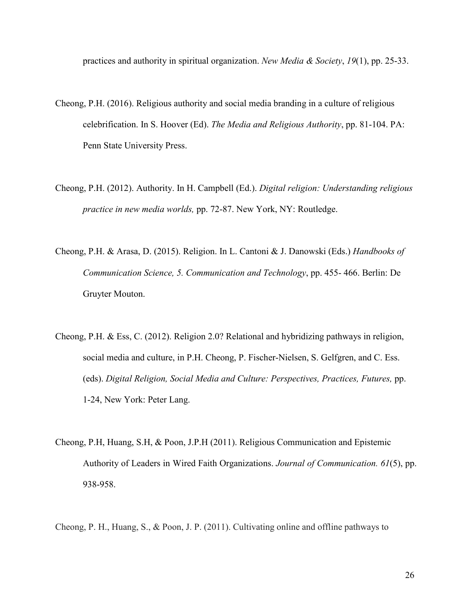practices and authority in spiritual organization. *New Media & Society*, *19*(1), pp. 25-33.

- Cheong, P.H. (2016). Religious authority and social media branding in a culture of religious celebrification. In S. Hoover (Ed). *The Media and Religious Authority*, pp. 81-104. PA: Penn State University Press.
- Cheong, P.H. (2012). Authority. In H. Campbell (Ed.). *Digital religion: Understanding religious practice in new media worlds,* pp. 72-87. New York, NY: Routledge.
- Cheong, P.H. & Arasa, D. (2015). Religion. In L. Cantoni & J. Danowski (Eds.) *Handbooks of Communication Science, 5. Communication and Technology*, pp. 455- 466. Berlin: De Gruyter Mouton.
- Cheong, P.H. & Ess, C. (2012). Religion 2.0? Relational and hybridizing pathways in religion, social media and culture, in P.H. Cheong, P. Fischer-Nielsen, S. Gelfgren, and C. Ess. (eds). *Digital Religion, Social Media and Culture: Perspectives, Practices, Futures,* pp. 1-24, New York: Peter Lang.
- Cheong, P.H, Huang, S.H, & Poon, J.P.H (2011). Religious Communication and Epistemic Authority of Leaders in Wired Faith Organizations. *Journal of Communication. 61*(5), pp. 938-958.
- Cheong, P. H., Huang, S., & Poon, J. P. (2011). Cultivating online and offline pathways to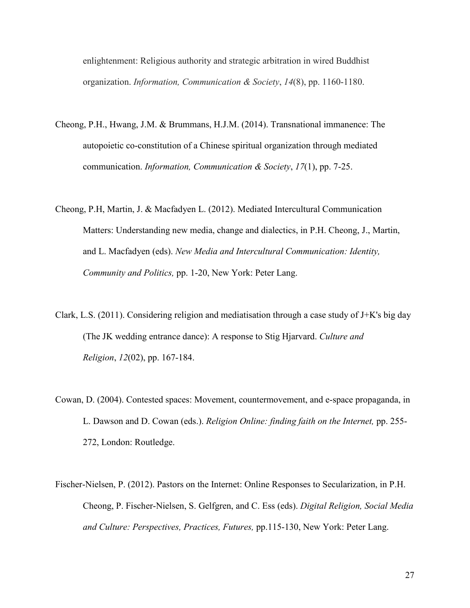enlightenment: Religious authority and strategic arbitration in wired Buddhist organization. *Information, Communication & Society*, *14*(8), pp. 1160-1180.

- Cheong, P.H., Hwang, J.M. & Brummans, H.J.M. (2014). Transnational immanence: The autopoietic co-constitution of a Chinese spiritual organization through mediated communication. *Information, Communication & Society*, *17*(1), pp. 7-25.
- Cheong, P.H, Martin, J. & Macfadyen L. (2012). Mediated Intercultural Communication Matters: Understanding new media, change and dialectics, in P.H. Cheong, J., Martin, and L. Macfadyen (eds). *New Media and Intercultural Communication: Identity, Community and Politics,* pp. 1-20, New York: Peter Lang.
- Clark, L.S. (2011). Considering religion and mediatisation through a case study of J+K's big day (The JK wedding entrance dance): A response to Stig Hjarvard. *Culture and Religion*, *12*(02), pp. 167-184.
- Cowan, D. (2004). Contested spaces: Movement, countermovement, and e-space propaganda, in L. Dawson and D. Cowan (eds.). *Religion Online: finding faith on the Internet,* pp. 255- 272, London: Routledge.
- Fischer-Nielsen, P. (2012). Pastors on the Internet: Online Responses to Secularization, in P.H. Cheong, P. Fischer-Nielsen, S. Gelfgren, and C. Ess (eds). *Digital Religion, Social Media and Culture: Perspectives, Practices, Futures,* pp.115-130, New York: Peter Lang.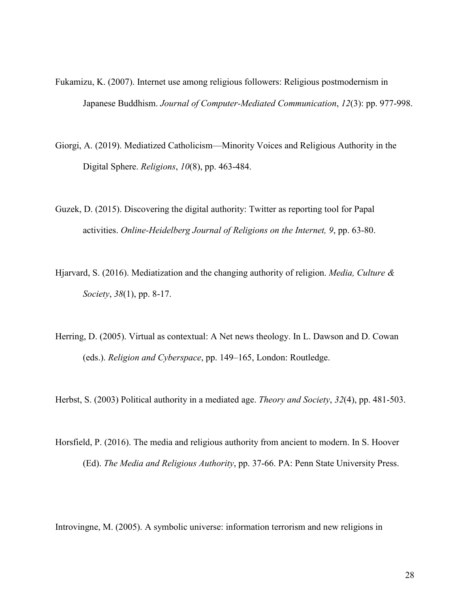- Fukamizu, K. (2007). Internet use among religious followers: Religious postmodernism in Japanese Buddhism. *Journal of Computer-Mediated Communication*, *12*(3): pp. 977-998.
- Giorgi, A. (2019). Mediatized Catholicism—Minority Voices and Religious Authority in the Digital Sphere. *Religions*, *10*(8), pp. 463-484.
- Guzek, D. (2015). Discovering the digital authority: Twitter as reporting tool for Papal activities. *Online-Heidelberg Journal of Religions on the Internet, 9*, pp. 63-80.
- Hjarvard, S. (2016). Mediatization and the changing authority of religion. *Media, Culture & Society*, *38*(1), pp. 8-17.
- Herring, D. (2005). Virtual as contextual: A Net news theology. In L. Dawson and D. Cowan (eds.). *Religion and Cyberspace*, pp. 149–165, London: Routledge.

Herbst, S. (2003) Political authority in a mediated age. *Theory and Society*, *32*(4), pp. 481-503.

Horsfield, P. (2016). The media and religious authority from ancient to modern. In S. Hoover (Ed). *The Media and Religious Authority*, pp. 37-66. PA: Penn State University Press.

Introvingne, M. (2005). A symbolic universe: information terrorism and new religions in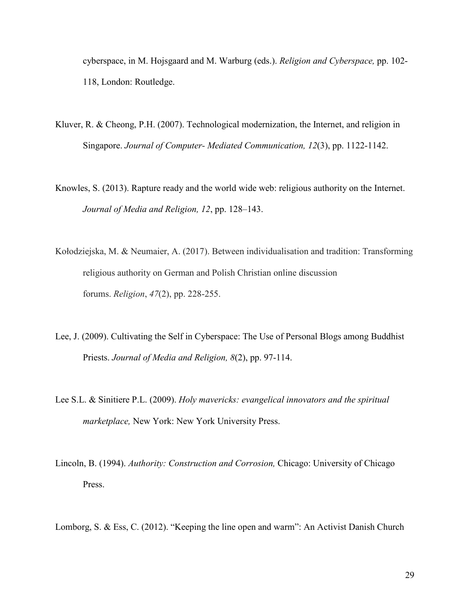cyberspace, in M. Hojsgaard and M. Warburg (eds.). *Religion and Cyberspace,* pp. 102- 118, London: Routledge.

- Kluver, R. & Cheong, P.H. (2007). Technological modernization, the Internet, and religion in Singapore. *Journal of Computer- Mediated Communication, 12*(3), pp. 1122-1142.
- Knowles, S. (2013). Rapture ready and the world wide web: religious authority on the Internet. *Journal of Media and Religion, 12*, pp. 128–143.
- Kołodziejska, M. & Neumaier, A. (2017). Between individualisation and tradition: Transforming religious authority on German and Polish Christian online discussion forums. *Religion*, *47*(2), pp. 228-255.
- Lee, J. (2009). Cultivating the Self in Cyberspace: The Use of Personal Blogs among Buddhist Priests. *Journal of Media and Religion, 8*(2), pp. 97-114.
- Lee S.L. & Sinitiere P.L. (2009). *Holy mavericks: evangelical innovators and the spiritual marketplace,* New York: New York University Press.
- Lincoln, B. (1994). *Authority: Construction and Corrosion,* Chicago: University of Chicago Press.

Lomborg, S. & Ess, C. (2012). "Keeping the line open and warm": An Activist Danish Church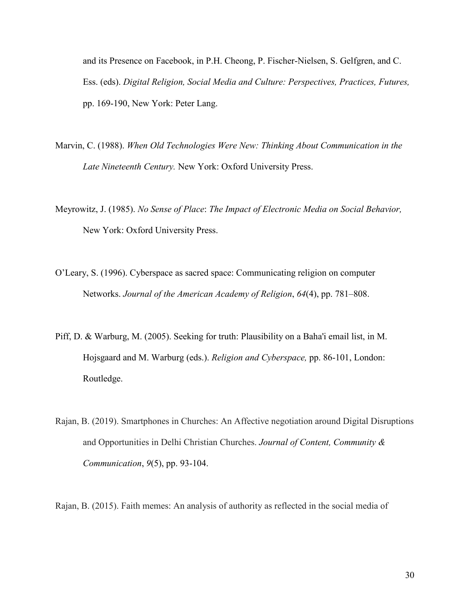and its Presence on Facebook, in P.H. Cheong, P. Fischer-Nielsen, S. Gelfgren, and C. Ess. (eds). *Digital Religion, Social Media and Culture: Perspectives, Practices, Futures,*  pp. 169-190, New York: Peter Lang.

- Marvin, C. (1988). *When Old Technologies Were New: Thinking About Communication in the Late Nineteenth Century.* New York: Oxford University Press.
- Meyrowitz, J. (1985). *No Sense of Place*: *The Impact of Electronic Media on Social Behavior,* New York: Oxford University Press.
- O'Leary, S. (1996). Cyberspace as sacred space: Communicating religion on computer Networks. *Journal of the American Academy of Religion*, *64*(4), pp. 781–808.
- Piff, D. & Warburg, M. (2005). Seeking for truth: Plausibility on a Baha'i email list, in M. Hojsgaard and M. Warburg (eds.). *Religion and Cyberspace,* pp. 86-101, London: Routledge.
- Rajan, B. (2019). Smartphones in Churches: An Affective negotiation around Digital Disruptions and Opportunities in Delhi Christian Churches. *Journal of Content, Community & Communication*, *9*(5), pp. 93-104.

Rajan, B. (2015). Faith memes: An analysis of authority as reflected in the social media of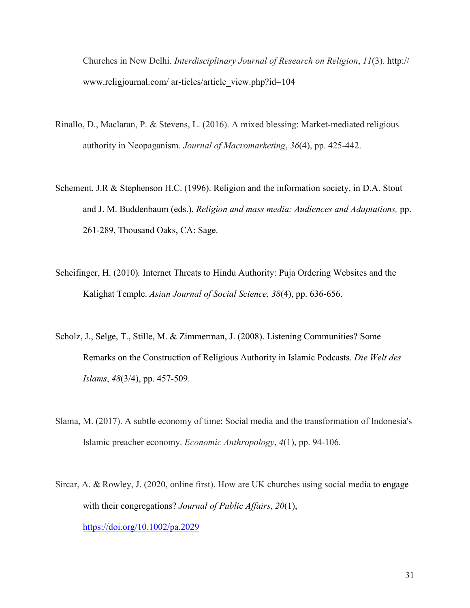Churches in New Delhi. *Interdisciplinary Journal of Research on Religion*, *11*(3). http:// www.religjournal.com/ ar-ticles/article\_view.php?id=104

- Rinallo, D., Maclaran, P. & Stevens, L. (2016). A mixed blessing: Market-mediated religious authority in Neopaganism. *Journal of Macromarketing*, *36*(4), pp. 425-442.
- Schement, J.R & Stephenson H.C. (1996). Religion and the information society, in D.A. Stout and J. M. Buddenbaum (eds.). *Religion and mass media: Audiences and Adaptations,* pp. 261-289, Thousand Oaks, CA: Sage.
- Scheifinger, H. (2010)*.* Internet Threats to Hindu Authority: Puja Ordering Websites and the Kalighat Temple. *Asian Journal of Social Science, 38*(4), pp. 636-656.
- Scholz, J., Selge, T., Stille, M. & Zimmerman, J. (2008). Listening Communities? Some Remarks on the Construction of Religious Authority in Islamic Podcasts. *Die Welt des Islams*, *48*(3/4), pp. 457-509.
- Slama, M. (2017). A subtle economy of time: Social media and the transformation of Indonesia's Islamic preacher economy. *Economic Anthropology*, *4*(1), pp. 94-106.
- Sircar, A. & Rowley, J. (2020, online first). How are UK churches using social media to engage with their congregations? *Journal of Public Affairs*, *20*(1), <https://doi.org/10.1002/pa.2029>